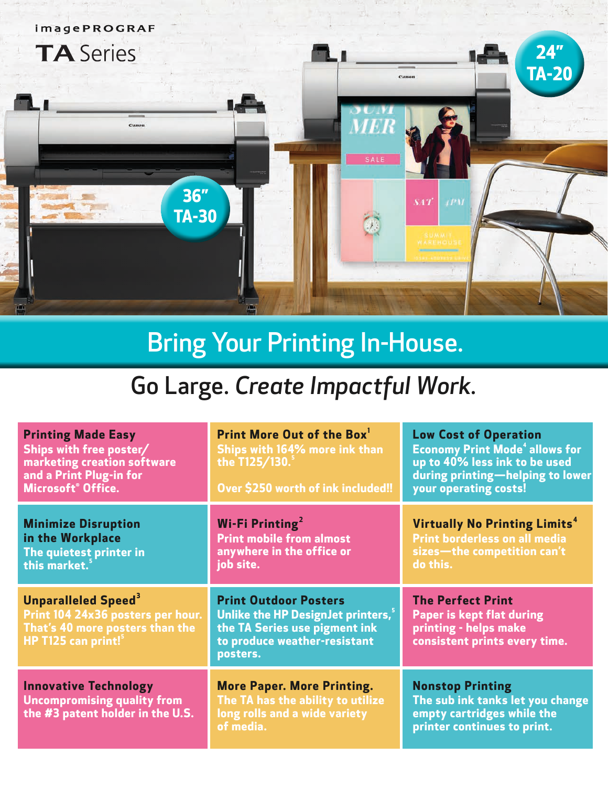

# Bring Your Printing In-House.

## Go Large. *Create Impactful Work.*

| <b>Printing Made Easy</b><br>Ships with free poster/<br>marketing creation software<br>and a Print Plug-in for<br><b>Microsoft<sup>®</sup> Office.</b> | Print More Out of the Box <sup>1</sup><br>Ships with 164% more ink than<br>the T125/130. <sup>5</sup><br>Over \$250 worth of ink included!!                  | <b>Low Cost of Operation</b><br><b>Economy Print Mode<sup>4</sup> allows for</b><br>up to 40% less ink to be used<br>during printing-helping to lower<br>your operating costs! |
|--------------------------------------------------------------------------------------------------------------------------------------------------------|--------------------------------------------------------------------------------------------------------------------------------------------------------------|--------------------------------------------------------------------------------------------------------------------------------------------------------------------------------|
| <b>Minimize Disruption</b><br>in the Workplace<br>The quietest printer in<br>this market. <sup>5</sup>                                                 | Wi-Fi Printing <sup>2</sup><br><b>Print mobile from almost</b><br>anywhere in the office or<br>job site.                                                     | Virtually No Printing Limits <sup>4</sup><br><b>Print borderless on all media</b><br>sizes-the competition can't<br>do this.                                                   |
| <b>Unparalleled Speed</b> <sup>3</sup><br>Print 104 24x36 posters per hour.<br>That's 40 more posters than the<br>HP T125 can print! <sup>5</sup>      | <b>Print Outdoor Posters</b><br>Unlike the HP Design Jet printers, <sup>5</sup><br>the TA Series use pigment ink<br>to produce weather-resistant<br>posters. | <b>The Perfect Print</b><br><b>Paper is kept flat during</b><br>printing - helps make<br>consistent prints every time.                                                         |
| <b>Innovative Technology</b><br><b>Uncompromising quality from</b><br>the #3 patent holder in the U.S.                                                 | <b>More Paper. More Printing.</b><br>The TA has the ability to utilize<br>long rolls and a wide variety<br>of media.                                         | <b>Nonstop Printing</b><br>The sub ink tanks let you change<br>empty cartridges while the<br>printer continues to print.                                                       |